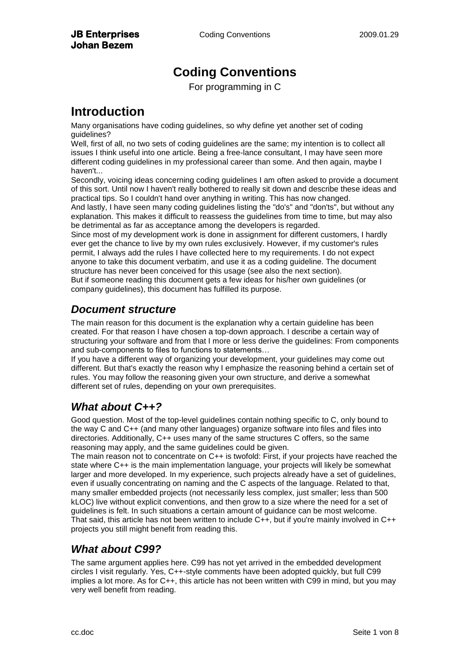# **Coding Conventions**

For programming in C

## **Introduction**

Many organisations have coding guidelines, so why define yet another set of coding guidelines?

Well, first of all, no two sets of coding guidelines are the same; my intention is to collect all issues I think useful into one article. Being a free-lance consultant, I may have seen more different coding guidelines in my professional career than some. And then again, maybe I haven't...

Secondly, voicing ideas concerning coding guidelines I am often asked to provide a document of this sort. Until now I haven't really bothered to really sit down and describe these ideas and practical tips. So I couldn't hand over anything in writing. This has now changed.

And lastly, I have seen many coding guidelines listing the "do's" and "don'ts", but without any explanation. This makes it difficult to reassess the guidelines from time to time, but may also be detrimental as far as acceptance among the developers is regarded.

Since most of my development work is done in assignment for different customers, I hardly ever get the chance to live by my own rules exclusively. However, if my customer's rules permit, I always add the rules I have collected here to my requirements. I do not expect anyone to take this document verbatim, and use it as a coding guideline. The document structure has never been conceived for this usage (see also the next section).

But if someone reading this document gets a few ideas for his/her own guidelines (or company guidelines), this document has fulfilled its purpose.

## *Document structure*

The main reason for this document is the explanation why a certain guideline has been created. For that reason I have chosen a top-down approach. I describe a certain way of structuring your software and from that I more or less derive the guidelines: From components and sub-components to files to functions to statements…

If you have a different way of organizing your development, your guidelines may come out different. But that's exactly the reason why I emphasize the reasoning behind a certain set of rules. You may follow the reasoning given your own structure, and derive a somewhat different set of rules, depending on your own prerequisites.

## *What about C++?*

Good question. Most of the top-level guidelines contain nothing specific to C, only bound to the way C and C++ (and many other languages) organize software into files and files into directories. Additionally, C++ uses many of the same structures C offers, so the same reasoning may apply, and the same guidelines could be given.

The main reason not to concentrate on C++ is twofold: First, if your projects have reached the state where C++ is the main implementation language, your projects will likely be somewhat larger and more developed. In my experience, such projects already have a set of guidelines, even if usually concentrating on naming and the C aspects of the language. Related to that, many smaller embedded projects (not necessarily less complex, just smaller; less than 500 kLOC) live without explicit conventions, and then grow to a size where the need for a set of guidelines is felt. In such situations a certain amount of guidance can be most welcome. That said, this article has not been written to include C++, but if you're mainly involved in C++ projects you still might benefit from reading this.

## *What about C99?*

The same argument applies here. C99 has not yet arrived in the embedded development circles I visit regularly. Yes, C++-style comments have been adopted quickly, but full C99 implies a lot more. As for C++, this article has not been written with C99 in mind, but you may very well benefit from reading.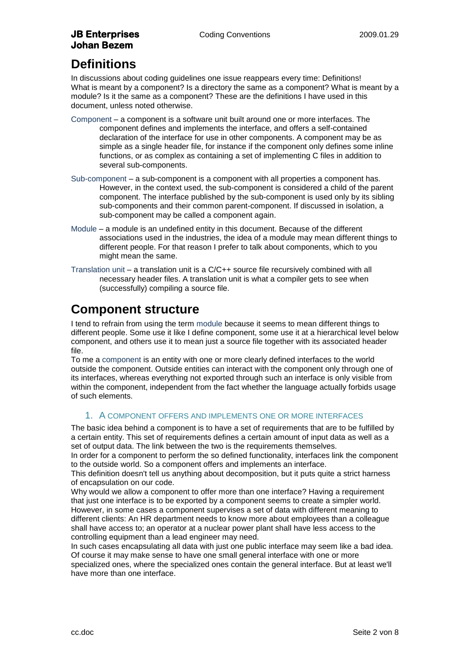## **JB Enterprises Coding Conventions** 2009.01.29 **Johan Bezem**

# **Definitions**

In discussions about coding guidelines one issue reappears every time: Definitions! What is meant by a component? Is a directory the same as a component? What is meant by a module? Is it the same as a component? These are the definitions I have used in this document, unless noted otherwise.

- Component a component is a software unit built around one or more interfaces. The component defines and implements the interface, and offers a self-contained declaration of the interface for use in other components. A component may be as simple as a single header file, for instance if the component only defines some inline functions, or as complex as containing a set of implementing C files in addition to several sub-components.
- Sub-component a sub-component is a component with all properties a component has. However, in the context used, the sub-component is considered a child of the parent component. The interface published by the sub-component is used only by its sibling sub-components and their common parent-component. If discussed in isolation, a sub-component may be called a component again.
- Module a module is an undefined entity in this document. Because of the different associations used in the industries, the idea of a module may mean different things to different people. For that reason I prefer to talk about components, which to you might mean the same.
- Translation unit a translation unit is a C/C++ source file recursively combined with all necessary header files. A translation unit is what a compiler gets to see when (successfully) compiling a source file.

# **Component structure**

I tend to refrain from using the term module because it seems to mean different things to different people. Some use it like I define component, some use it at a hierarchical level below component, and others use it to mean just a source file together with its associated header file.

To me a component is an entity with one or more clearly defined interfaces to the world outside the component. Outside entities can interact with the component only through one of its interfaces, whereas everything not exported through such an interface is only visible from within the component, independent from the fact whether the language actually forbids usage of such elements.

### 1. A COMPONENT OFFERS AND IMPLEMENTS ONE OR MORE INTERFACES

The basic idea behind a component is to have a set of requirements that are to be fulfilled by a certain entity. This set of requirements defines a certain amount of input data as well as a set of output data. The link between the two is the requirements themselves.

In order for a component to perform the so defined functionality, interfaces link the component to the outside world. So a component offers and implements an interface.

This definition doesn't tell us anything about decomposition, but it puts quite a strict harness of encapsulation on our code.

Why would we allow a component to offer more than one interface? Having a requirement that just one interface is to be exported by a component seems to create a simpler world. However, in some cases a component supervises a set of data with different meaning to different clients: An HR department needs to know more about employees than a colleague shall have access to; an operator at a nuclear power plant shall have less access to the controlling equipment than a lead engineer may need.

In such cases encapsulating all data with just one public interface may seem like a bad idea. Of course it may make sense to have one small general interface with one or more specialized ones, where the specialized ones contain the general interface. But at least we'll have more than one interface.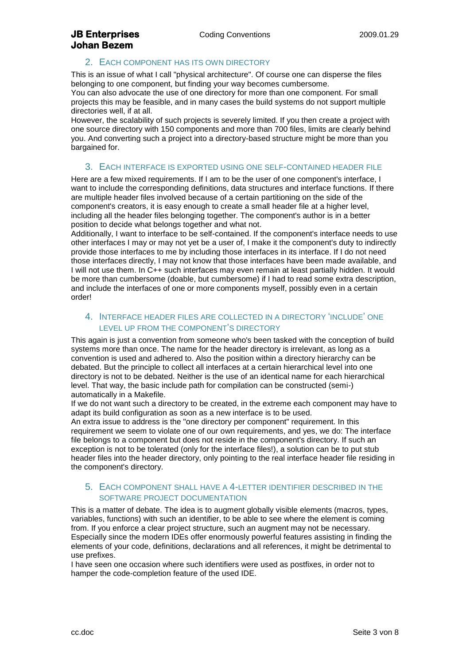## **JB Enterprises Coding Conventions** 2009.01.29 **Johan Bezem**

### 2. EACH COMPONENT HAS ITS OWN DIRECTORY

This is an issue of what I call "physical architecture". Of course one can disperse the files belonging to one component, but finding your way becomes cumbersome.

You can also advocate the use of one directory for more than one component. For small projects this may be feasible, and in many cases the build systems do not support multiple directories well, if at all.

However, the scalability of such projects is severely limited. If you then create a project with one source directory with 150 components and more than 700 files, limits are clearly behind you. And converting such a project into a directory-based structure might be more than you bargained for.

### 3. EACH INTERFACE IS EXPORTED USING ONE SELF-CONTAINED HEADER FILE

Here are a few mixed requirements. If I am to be the user of one component's interface, I want to include the corresponding definitions, data structures and interface functions. If there are multiple header files involved because of a certain partitioning on the side of the component's creators, it is easy enough to create a small header file at a higher level, including all the header files belonging together. The component's author is in a better position to decide what belongs together and what not.

Additionally, I want to interface to be self-contained. If the component's interface needs to use other interfaces I may or may not yet be a user of, I make it the component's duty to indirectly provide those interfaces to me by including those interfaces in its interface. If I do not need those interfaces directly, I may not know that those interfaces have been made available, and I will not use them. In C++ such interfaces may even remain at least partially hidden. It would be more than cumbersome (doable, but cumbersome) if I had to read some extra description, and include the interfaces of one or more components myself, possibly even in a certain order!

### 4. INTERFACE HEADER FILES ARE COLLECTED IN A DIRECTORY "INCLUDE" ONE LEVEL UP FROM THE COMPONENT"S DIRECTORY

This again is just a convention from someone who's been tasked with the conception of build systems more than once. The name for the header directory is irrelevant, as long as a convention is used and adhered to. Also the position within a directory hierarchy can be debated. But the principle to collect all interfaces at a certain hierarchical level into one directory is not to be debated. Neither is the use of an identical name for each hierarchical level. That way, the basic include path for compilation can be constructed (semi-) automatically in a Makefile.

If we do not want such a directory to be created, in the extreme each component may have to adapt its build configuration as soon as a new interface is to be used.

An extra issue to address is the "one directory per component" requirement. In this requirement we seem to violate one of our own requirements, and yes, we do: The interface file belongs to a component but does not reside in the component's directory. If such an exception is not to be tolerated (only for the interface files!), a solution can be to put stub header files into the header directory, only pointing to the real interface header file residing in the component's directory.

#### 5. EACH COMPONENT SHALL HAVE A 4-LETTER IDENTIFIER DESCRIBED IN THE SOFTWARE PROJECT DOCUMENTATION

This is a matter of debate. The idea is to augment globally visible elements (macros, types, variables, functions) with such an identifier, to be able to see where the element is coming from. If you enforce a clear project structure, such an augment may not be necessary. Especially since the modern IDEs offer enormously powerful features assisting in finding the elements of your code, definitions, declarations and all references, it might be detrimental to use prefixes.

I have seen one occasion where such identifiers were used as postfixes, in order not to hamper the code-completion feature of the used IDE.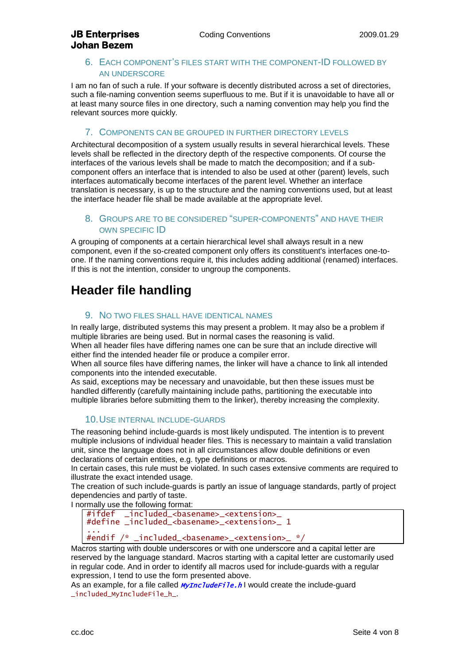#### 6. EACH COMPONENT"S FILES START WITH THE COMPONENT-ID FOLLOWED BY AN UNDERSCORE

I am no fan of such a rule. If your software is decently distributed across a set of directories, such a file-naming convention seems superfluous to me. But if it is unavoidable to have all or at least many source files in one directory, such a naming convention may help you find the relevant sources more quickly.

#### 7. COMPONENTS CAN BE GROUPED IN FURTHER DIRECTORY LEVELS

Architectural decomposition of a system usually results in several hierarchical levels. These levels shall be reflected in the directory depth of the respective components. Of course the interfaces of the various levels shall be made to match the decomposition; and if a subcomponent offers an interface that is intended to also be used at other (parent) levels, such interfaces automatically become interfaces of the parent level. Whether an interface translation is necessary, is up to the structure and the naming conventions used, but at least the interface header file shall be made available at the appropriate level.

### 8. GROUPS ARE TO BE CONSIDERED "SUPER-COMPONENTS" AND HAVE THEIR OWN SPECIFIC ID

A grouping of components at a certain hierarchical level shall always result in a new component, even if the so-created component only offers its constituent's interfaces one-toone. If the naming conventions require it, this includes adding additional (renamed) interfaces. If this is not the intention, consider to ungroup the components.

# **Header file handling**

#### 9. NO TWO FILES SHALL HAVE IDENTICAL NAMES

In really large, distributed systems this may present a problem. It may also be a problem if multiple libraries are being used. But in normal cases the reasoning is valid. When all header files have differing names one can be sure that an include directive will either find the intended header file or produce a compiler error.

When all source files have differing names, the linker will have a chance to link all intended components into the intended executable.

As said, exceptions may be necessary and unavoidable, but then these issues must be handled differently (carefully maintaining include paths, partitioning the executable into multiple libraries before submitting them to the linker), thereby increasing the complexity.

#### <span id="page-3-0"></span>10.USE INTERNAL INCLUDE-GUARDS

The reasoning behind include-guards is most likely undisputed. The intention is to prevent multiple inclusions of individual header files. This is necessary to maintain a valid translation unit, since the language does not in all circumstances allow double definitions or even declarations of certain entities, e.g. type definitions or macros.

In certain cases, this rule must be violated. In such cases extensive comments are required to illustrate the exact intended usage.

The creation of such include-guards is partly an issue of language standards, partly of project dependencies and partly of taste.

I normally use the following format:

#ifdef \_included\_<basename>\_<extension>\_ #define \_included\_<basename>\_<extension>\_ 1 ...

#### #endif /\* \_included\_<basename>\_<extension>\_ \*/

Macros starting with double underscores or with one underscore and a capital letter are reserved by the language standard. Macros starting with a capital letter are customarily used in regular code. And in order to identify all macros used for include-guards with a regular expression, I tend to use the form presented above.

As an example, for a file called **MyIncludeFile.h** I would create the include-quard \_included\_MyIncludeFile\_h\_.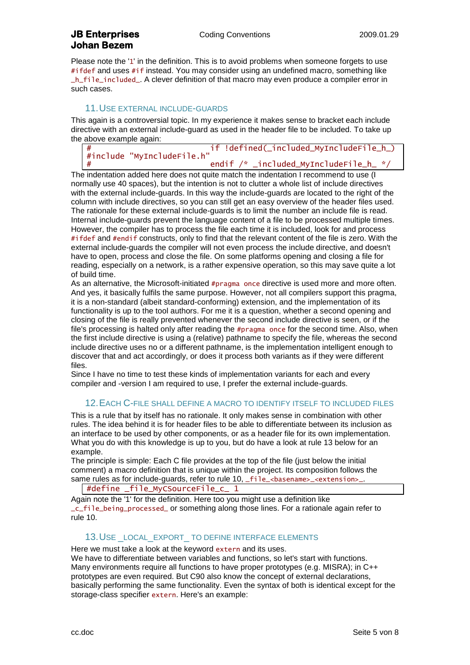Please note the '1' in the definition. This is to avoid problems when someone forgets to use #ifdef and uses #if instead. You may consider using an undefined macro, something like \_h\_file\_included\_. A clever definition of that macro may even produce a compiler error in such cases.

#### 11.USE EXTERNAL INCLUDE-GUARDS

This again is a controversial topic. In my experience it makes sense to bracket each include directive with an external include-guard as used in the header file to be included. To take up the above example again:

# if !defined(\_included\_MyIncludeFile\_h\_) #include "MyIncludeFile.h" # endif /\* \_included\_MyIncludeFile\_h\_ \*/

The indentation added here does not quite match the indentation I recommend to use (I normally use 40 spaces), but the intention is not to clutter a whole list of include directives with the external include-guards. In this way the include-guards are located to the right of the column with include directives, so you can still get an easy overview of the header files used. The rationale for these external include-guards is to limit the number an include file is read. Internal include-guards prevent the language content of a file to be processed multiple times. However, the compiler has to process the file each time it is included, look for and process #ifdef and #endif constructs, only to find that the relevant content of the file is zero. With the external include-guards the compiler will not even process the include directive, and doesn't have to open, process and close the file. On some platforms opening and closing a file for reading, especially on a network, is a rather expensive operation, so this may save quite a lot of build time.

As an alternative, the Microsoft-initiated #pragma once directive is used more and more often. And yes, it basically fulfils the same purpose. However, not all compilers support this pragma, it is a non-standard (albeit standard-conforming) extension, and the implementation of its functionality is up to the tool authors. For me it is a question, whether a second opening and closing of the file is really prevented whenever the second include directive is seen, or if the file's processing is halted only after reading the #pragma once for the second time. Also, when the first include directive is using a (relative) pathname to specify the file, whereas the second include directive uses no or a different pathname, is the implementation intelligent enough to discover that and act accordingly, or does it process both variants as if they were different files.

<span id="page-4-1"></span>Since I have no time to test these kinds of implementation variants for each and every compiler and -version I am required to use, I prefer the external include-guards.

#### 12.EACH C-FILE SHALL DEFINE A MACRO TO IDENTIFY ITSELF TO INCLUDED FILES

This is a rule that by itself has no rationale. It only makes sense in combination with other rules. The idea behind it is for header files to be able to differentiate between its inclusion as an interface to be used by other components, or as a header file for its own implementation. What you do with this knowledge is up to you, but do have a look at rule [13 below](#page-4-0) for an example.

The principle is simple: Each C file provides at the top of the file (just below the initial comment) a macro definition that is unique within the project. Its composition follows the same rules as for include-guards, refer to rule [10,](#page-3-0) \_file\_<br/>basename>\_<extension>\_

#define \_file\_MyCSourceFile\_c\_ 1

Again note the '1' for the definition. Here too you might use a definition like \_c\_file\_being\_processed\_ or something along those lines. For a rationale again refer to rule [10.](#page-3-0)

#### <span id="page-4-0"></span>13.USE \_LOCAL\_EXPORT\_ TO DEFINE INTERFACE ELEMENTS

Here we must take a look at the keyword extern and its uses.

We have to differentiate between variables and functions, so let's start with functions. Many environments require all functions to have proper prototypes (e.g. MISRA); in C++ prototypes are even required. But C90 also know the concept of external declarations, basically performing the same functionality. Even the syntax of both is identical except for the storage-class specifier extern. Here's an example: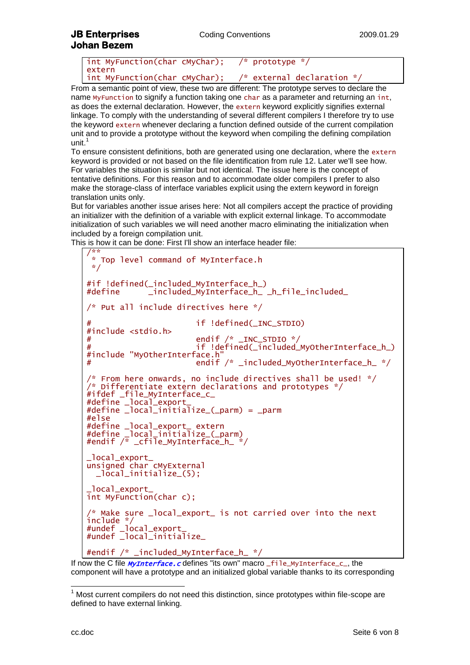### **JB Enterprises Coding Conventions** 2009.01.29 **Johan Bezem**

| int MyFunction(char cMyChar); | $\frac{x}{2}$ prototype $\frac{x}{2}$            |
|-------------------------------|--------------------------------------------------|
| extern                        |                                                  |
| int MyFunction(char cMyChar); | $\frac{x}{x}$ external declaration $\frac{x}{x}$ |

From a semantic point of view, these two are different: The prototype serves to declare the name MyFunction to signify a function taking one char as a parameter and returning an int, as does the external declaration. However, the extern keyword explicitly signifies external linkage. To comply with the understanding of several different compilers I therefore try to use the keyword extern whenever declaring a function defined outside of the current compilation unit and to provide a prototype without the keyword when compiling the defining compilation unit. $<sup>1</sup>$ </sup>

To ensure consistent definitions, both are generated using one declaration, where the extern keyword is provided or not based on the file identification from rule [12.](#page-4-1) Later we'll see how. For variables the situation is similar but not identical. The issue here is the concept of tentative definitions. For this reason and to accommodate older compilers I prefer to also make the storage-class of interface variables explicit using the extern keyword in foreign translation units only.

But for variables another issue arises here: Not all compilers accept the practice of providing an initializer with the definition of a variable with explicit external linkage. To accommodate initialization of such variables we will need another macro eliminating the initialization when included by a foreign compilation unit.

This is how it can be done: First I'll show an interface header file:

```
/**
 * Top level command of MyInterface.h
 */
#if !defined(_included_MyInterface_h_)
             _included_MyInterfaceh_ _h_file_included_
/* Put all include directives here */
                       if !defined(_INC_STDIO)
#include <stdio.h>
# endif /* _INC_STDIO */
                       if !defined(_included_MyOtherInterface_h_)
#include "MyOtherInterface.h"
                       \overline{m} endif /* _included_MyOtherInterface_h_ */
/* From here onwards, no include directives shall be used! */
/* Differentiate extern declarations and prototypes */
#ifdef _file_MyInterface_c_
#define _local_export_
#define _local_initialize_(_parm) = _parm
#else
#define _local_export_ extern
#define _local_initialize_(_parm)
#endif /* _cfile_MyInterface_h_ */
_local_export_
unsigned char cMyExternal
 _local_initialize_(5);
_local_export_
int MyFunction(char c);
/* Make sure _local_export_ is not carried over into the next 
include */
#undef _local_export_
#undef _local_initialize_
#endif /* _included_MyInterface_h_ */
```
If now the C file *MyInterface.c* defines "its own" macro \_file\_MyInterface\_c\_, the component will have a prototype and an initialized global variable thanks to its corresponding

-

 $1$  Most current compilers do not need this distinction, since prototypes within file-scope are defined to have external linking.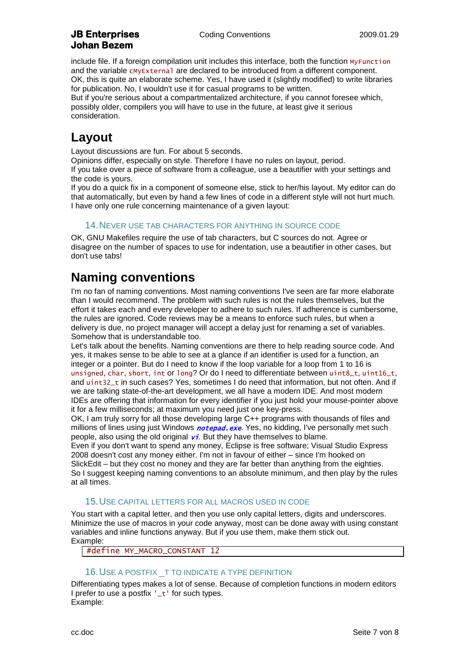include file. If a foreign compilation unit includes this interface, both the function MyFunction and the variable cMyExternal are declared to be introduced from a different component. OK, this is quite an elaborate scheme. Yes, I have used it (slightly modified) to write libraries for publication. No, I wouldn't use it for casual programs to be written.

But if you're serious about a compartmentalized architecture, if you cannot foresee which, possibly older, compilers you will have to use in the future, at least give it serious consideration.

## **Layout**

Layout discussions are fun. For about 5 seconds.

Opinions differ, especially on style. Therefore I have no rules on layout, period. If you take over a piece of software from a colleague, use a beautifier with your settings and the code is yours.

If you do a quick fix in a component of someone else, stick to her/his layout. My editor can do that automatically, but even by hand a few lines of code in a different style will not hurt much. I have only one rule concerning maintenance of a given layout:

#### 14.NEVER USE TAB CHARACTERS FOR ANYTHING IN SOURCE CODE

OK, GNU Makefiles require the use of tab characters, but C sources do not. Agree or disagree on the number of spaces to use for indentation, use a beautifier in other cases, but don't use tabs!

# **Naming conventions**

I'm no fan of naming conventions. Most naming conventions I've seen are far more elaborate than I would recommend. The problem with such rules is not the rules themselves, but the effort it takes each and every developer to adhere to such rules. If adherence is cumbersome, the rules are ignored. Code reviews may be a means to enforce such rules, but when a delivery is due, no project manager will accept a delay just for renaming a set of variables. Somehow that is understandable too.

Let's talk about the benefits. Naming conventions are there to help reading source code. And yes, it makes sense to be able to see at a glance if an identifier is used for a function, an integer or a pointer. But do I need to know if the loop variable for a loop from 1 to 16 is unsigned, char, short, int or long? Or do I need to differentiate between uint8\_t, uint16\_t, and uint32\_t in such cases? Yes, sometimes I do need that information, but not often. And if we are talking state-of-the-art development, we all have a modern IDE. And most modern IDEs are offering that information for every identifier if you just hold your mouse-pointer above it for a few milliseconds; at maximum you need just one key-press.

OK, I am truly sorry for all those developing large C++ programs with thousands of files and millions of lines using just Windows *notepad.exe*. Yes, no kidding, I've personally met such people, also using the old original  $\overline{vi}$ . But they have themselves to blame.

Even if you don't want to spend any money, Eclipse is free software; Visual Studio Express 2008 doesn't cost any money either. I'm not in favour of either – since I'm hooked on SlickEdit – but they cost no money and they are far better than anything from the eighties. So I suggest keeping naming conventions to an absolute minimum, and then play by the rules at all times.

#### 15.USE CAPITAL LETTERS FOR ALL MACROS USED IN CODE

You start with a capital letter, and then you use only capital letters, digits and underscores. Minimize the use of macros in your code anyway, most can be done away with using constant variables and inline functions anyway. But if you use them, make them stick out. Example:

#define MY\_MACRO\_CONSTANT 12

#### 16.USE A POSTFIX \_T TO INDICATE A TYPE DEFINITION

Differentiating types makes a lot of sense. Because of completion functions in modern editors I prefer to use a postfix '\_t' for such types. Example: